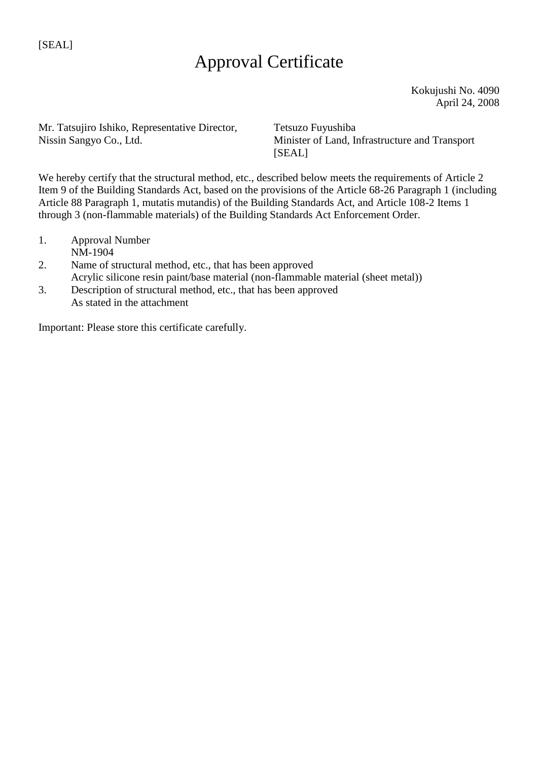## Approval Certificate

Kokujushi No. 4090 April 24, 2008

Mr. Tatsujiro Ishiko, Representative Director, Nissin Sangyo Co., Ltd.

Tetsuzo Fuyushiba Minister of Land, Infrastructure and Transport [SEAL]

We hereby certify that the structural method, etc., described below meets the requirements of Article 2 Item 9 of the Building Standards Act, based on the provisions of the Article 68-26 Paragraph 1 (including Article 88 Paragraph 1, mutatis mutandis) of the Building Standards Act, and Article 108-2 Items 1 through 3 (non-flammable materials) of the Building Standards Act Enforcement Order.

- 1. Approval Number
- NM-1904
- 2. Name of structural method, etc., that has been approved Acrylic silicone resin paint/base material (non-flammable material (sheet metal))
- 3. Description of structural method, etc., that has been approved As stated in the attachment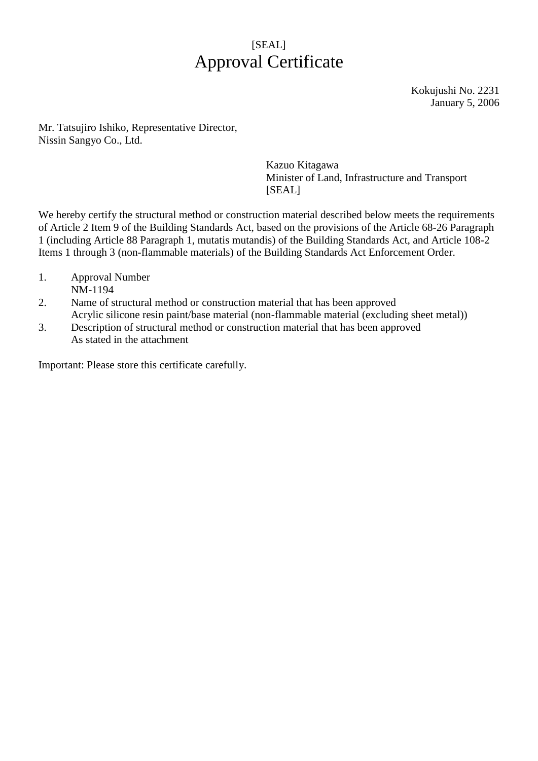## [SEAL] Approval Certificate

Kokujushi No. 2231 January 5, 2006

Mr. Tatsujiro Ishiko, Representative Director, Nissin Sangyo Co., Ltd.

> Kazuo Kitagawa Minister of Land, Infrastructure and Transport [SEAL]

We hereby certify the structural method or construction material described below meets the requirements of Article 2 Item 9 of the Building Standards Act, based on the provisions of the Article 68-26 Paragraph 1 (including Article 88 Paragraph 1, mutatis mutandis) of the Building Standards Act, and Article 108-2 Items 1 through 3 (non-flammable materials) of the Building Standards Act Enforcement Order.

- 1. Approval Number NM-1194
- 2. Name of structural method or construction material that has been approved Acrylic silicone resin paint/base material (non-flammable material (excluding sheet metal))
- 3. Description of structural method or construction material that has been approved As stated in the attachment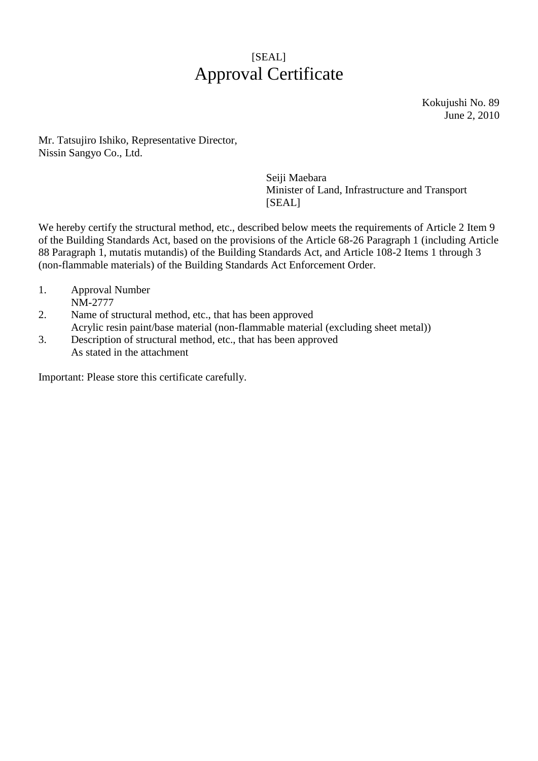## [SEAL] Approval Certificate

Kokujushi No. 89 June 2, 2010

Mr. Tatsujiro Ishiko, Representative Director, Nissin Sangyo Co., Ltd.

> Seiji Maebara Minister of Land, Infrastructure and Transport [SEAL]

We hereby certify the structural method, etc., described below meets the requirements of Article 2 Item 9 of the Building Standards Act, based on the provisions of the Article 68-26 Paragraph 1 (including Article 88 Paragraph 1, mutatis mutandis) of the Building Standards Act, and Article 108-2 Items 1 through 3 (non-flammable materials) of the Building Standards Act Enforcement Order.

- 1. Approval Number NM-2777
- 2. Name of structural method, etc., that has been approved Acrylic resin paint/base material (non-flammable material (excluding sheet metal))
- 3. Description of structural method, etc., that has been approved As stated in the attachment